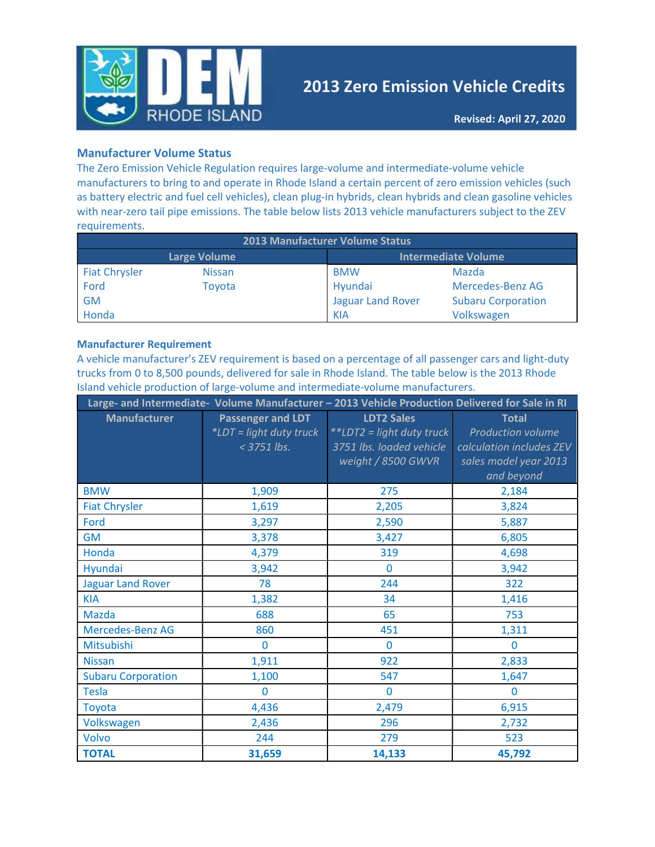

# 2013 Zero Emission Vehicle Credits

#### Manufacturer Volume Status

The Zero Emission Vehicle Regulation requires large-volume and intermediate-volume vehicle manufacturers to bring to and operate in Rhode Island a certain percent of zero emission vehicles (such as battery electric and fuel cell vehicles), clean plug-in hybrids, clean hybrids and clean gasoline vehicles with near-zero tail pipe emissions. The table below lists 2013 vehicle manufacturers subject to the ZEV requirements.

| <b>2013 Manufacturer Volume Status</b> |                     |                          |                            |  |  |  |  |  |
|----------------------------------------|---------------------|--------------------------|----------------------------|--|--|--|--|--|
|                                        | <b>Large Volume</b> |                          | <b>Intermediate Volume</b> |  |  |  |  |  |
| <b>Fiat Chrysler</b>                   | <b>Nissan</b>       | <b>BMW</b>               | Mazda                      |  |  |  |  |  |
| Ford                                   | Toyota              | Hyundai                  | Mercedes-Benz AG           |  |  |  |  |  |
| <b>GM</b>                              |                     | <b>Jaguar Land Rover</b> | <b>Subaru Corporation</b>  |  |  |  |  |  |
| Honda                                  |                     | <b>KIA</b>               | Volkswagen                 |  |  |  |  |  |

#### Manufacturer Requirement

A vehicle manufacturer's ZEV requirement is based on a percentage of all passenger cars and light-duty trucks from 0 to 8,500 pounds, delivered for sale in Rhode Island. The table below is the 2013 Rhode Island vehicle production of large-volume and intermediate-volume manufacturers.

| Large- and Intermediate- Volume Manufacturer - 2013 Vehicle Production Delivered for Sale in RI |                                                             |                                                                                                  |                                                                                                      |  |  |  |  |  |
|-------------------------------------------------------------------------------------------------|-------------------------------------------------------------|--------------------------------------------------------------------------------------------------|------------------------------------------------------------------------------------------------------|--|--|--|--|--|
| <b>Manufacturer</b>                                                                             | Passenger and LDT<br>*LDT = light duty truck<br>< 3751 lbs. | <b>LDT2 Sales</b><br>**LDT2 = light duty truck<br>3751 lbs. loaded vehicle<br>weight / 8500 GWVR | <b>Total</b><br>Production volume<br>calculation includes ZEV<br>sales model year 2013<br>and beyond |  |  |  |  |  |
| <b>BMW</b>                                                                                      | 1,909                                                       | 275                                                                                              | 2,184                                                                                                |  |  |  |  |  |
| <b>Fiat Chrysler</b>                                                                            | 1,619                                                       | 2,205                                                                                            | 3,824                                                                                                |  |  |  |  |  |
| Ford                                                                                            | 3,297                                                       | 2,590                                                                                            | 5,887                                                                                                |  |  |  |  |  |
| <b>GM</b>                                                                                       | 3,378                                                       | 3,427                                                                                            | 6,805                                                                                                |  |  |  |  |  |
| Honda                                                                                           | 4,379                                                       | 319                                                                                              | 4,698                                                                                                |  |  |  |  |  |
| Hyundai                                                                                         | 3,942                                                       | $\mathbf 0$                                                                                      | 3,942                                                                                                |  |  |  |  |  |
| <b>Jaguar Land Rover</b>                                                                        | 78                                                          | 244                                                                                              | 322                                                                                                  |  |  |  |  |  |
| <b>KIA</b>                                                                                      | 1,382                                                       | 34                                                                                               | 1,416                                                                                                |  |  |  |  |  |
| <b>Mazda</b>                                                                                    | 688                                                         | 65                                                                                               | 753                                                                                                  |  |  |  |  |  |
| Mercedes-Benz AG                                                                                | 860                                                         | 451                                                                                              | 1,311                                                                                                |  |  |  |  |  |
| Mitsubishi                                                                                      | $\Omega$                                                    | $\Omega$                                                                                         | $\Omega$                                                                                             |  |  |  |  |  |
| <b>Nissan</b>                                                                                   | 1,911                                                       | 922                                                                                              | 2,833                                                                                                |  |  |  |  |  |
| <b>Subaru Corporation</b>                                                                       | 1,100                                                       | 547                                                                                              | 1,647                                                                                                |  |  |  |  |  |
| <b>Tesla</b>                                                                                    | $\mathbf{0}$                                                | $\mathbf{0}$                                                                                     | $\mathbf{0}$                                                                                         |  |  |  |  |  |
| Toyota                                                                                          | 4,436                                                       | 2,479                                                                                            | 6,915                                                                                                |  |  |  |  |  |
| Volkswagen                                                                                      | 2,436                                                       | 296                                                                                              | 2,732                                                                                                |  |  |  |  |  |
| Volvo                                                                                           | 244                                                         | 279                                                                                              | 523                                                                                                  |  |  |  |  |  |
| <b>TOTAL</b>                                                                                    | 31,659                                                      | 14,133                                                                                           | 45,792                                                                                               |  |  |  |  |  |